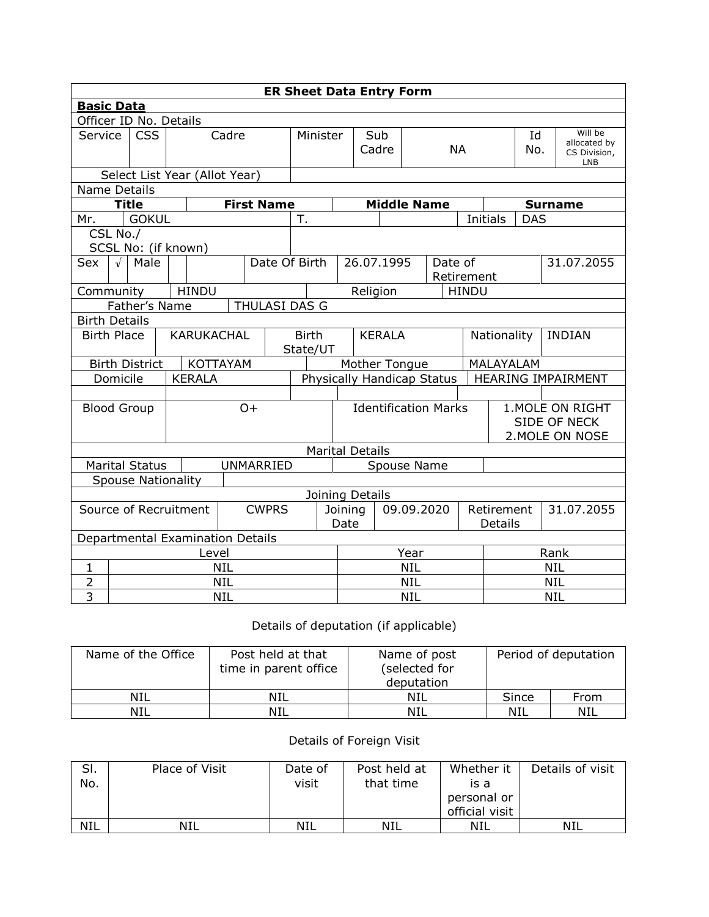| <b>ER Sheet Data Entry Form</b>       |                                         |                           |                                  |                   |                               |                                           |                                     |                        |                       |                              |                                                     |              |                |            |  |                                                       |
|---------------------------------------|-----------------------------------------|---------------------------|----------------------------------|-------------------|-------------------------------|-------------------------------------------|-------------------------------------|------------------------|-----------------------|------------------------------|-----------------------------------------------------|--------------|----------------|------------|--|-------------------------------------------------------|
|                                       | <b>Basic Data</b>                       |                           |                                  |                   |                               |                                           |                                     |                        |                       |                              |                                                     |              |                |            |  |                                                       |
|                                       | Officer ID No. Details                  |                           |                                  |                   |                               |                                           |                                     |                        |                       |                              |                                                     |              |                |            |  |                                                       |
|                                       | <b>CSS</b><br>Service                   |                           |                                  | Cadre             |                               | Minister                                  |                                     |                        | Sub<br>Cadre          | <b>NA</b>                    |                                                     |              |                | Id<br>No.  |  | Will be<br>allocated by<br>CS Division,<br><b>LNB</b> |
|                                       |                                         |                           | Select List Year (Allot Year)    |                   |                               |                                           |                                     |                        |                       |                              |                                                     |              |                |            |  |                                                       |
| <b>Name Details</b>                   |                                         |                           |                                  |                   |                               |                                           |                                     |                        |                       |                              |                                                     |              |                |            |  |                                                       |
|                                       |                                         | <b>Title</b>              |                                  | <b>First Name</b> |                               |                                           |                                     |                        |                       |                              | <b>Middle Name</b>                                  |              | <b>Surname</b> |            |  |                                                       |
| Mr.                                   |                                         | <b>GOKUL</b>              |                                  |                   |                               | T.                                        |                                     |                        |                       |                              |                                                     |              | Initials       | <b>DAS</b> |  |                                                       |
|                                       | CSL No./                                |                           |                                  |                   |                               |                                           |                                     |                        |                       |                              |                                                     |              |                |            |  |                                                       |
|                                       |                                         |                           | SCSL No: (if known)              |                   |                               |                                           |                                     |                        |                       |                              |                                                     |              |                |            |  |                                                       |
| Sex                                   | $\sqrt{ }$                              | Male                      |                                  |                   | Date Of Birth                 |                                           | 26.07.1995<br>Date of<br>Retirement |                        |                       |                              | 31.07.2055                                          |              |                |            |  |                                                       |
| Community                             |                                         |                           | <b>HINDU</b>                     |                   |                               |                                           |                                     | Religion               |                       |                              |                                                     | <b>HINDU</b> |                |            |  |                                                       |
| Father's Name<br><b>THULASI DAS G</b> |                                         |                           |                                  |                   |                               |                                           |                                     |                        |                       |                              |                                                     |              |                |            |  |                                                       |
| <b>Birth Details</b>                  |                                         |                           |                                  |                   |                               |                                           |                                     |                        |                       |                              |                                                     |              |                |            |  |                                                       |
|                                       | <b>KARUKACHAL</b><br><b>Birth Place</b> |                           |                                  |                   |                               | <b>Birth</b><br><b>KERALA</b><br>State/UT |                                     |                        |                       | Nationality<br><b>INDIAN</b> |                                                     |              |                |            |  |                                                       |
|                                       |                                         | <b>Birth District</b>     |                                  | <b>KOTTAYAM</b>   |                               |                                           |                                     | Mother Tongue          |                       |                              |                                                     |              | MALAYALAM      |            |  |                                                       |
|                                       | Domicile                                |                           | <b>KERALA</b>                    |                   |                               |                                           | Physically Handicap Status          |                        |                       |                              |                                                     |              |                |            |  | HEARING IMPAIRMENT                                    |
|                                       |                                         |                           |                                  |                   |                               |                                           |                                     |                        |                       |                              |                                                     |              |                |            |  |                                                       |
| $O+$<br><b>Blood Group</b>            |                                         |                           |                                  |                   | <b>Identification Marks</b>   |                                           |                                     |                        |                       |                              | 1. MOLE ON RIGHT<br>SIDE OF NECK<br>2. MOLE ON NOSE |              |                |            |  |                                                       |
|                                       |                                         |                           |                                  |                   |                               |                                           |                                     | <b>Marital Details</b> |                       |                              |                                                     |              |                |            |  |                                                       |
|                                       |                                         | <b>Marital Status</b>     |                                  |                   | UNMARRIED                     |                                           |                                     |                        |                       | Spouse Name                  |                                                     |              |                |            |  |                                                       |
|                                       |                                         | <b>Spouse Nationality</b> |                                  |                   |                               |                                           |                                     |                        |                       |                              |                                                     |              |                |            |  |                                                       |
|                                       |                                         |                           |                                  |                   |                               |                                           |                                     | Joining Details        |                       |                              |                                                     |              |                |            |  |                                                       |
| Source of Recruitment<br><b>CWPRS</b> |                                         |                           |                                  |                   | 09.09.2020<br>Joining<br>Date |                                           |                                     |                        | Retirement<br>Details |                              |                                                     | 31.07.2055   |                |            |  |                                                       |
|                                       |                                         |                           | Departmental Examination Details |                   |                               |                                           |                                     |                        |                       |                              |                                                     |              |                |            |  |                                                       |
|                                       | Level                                   |                           |                                  |                   |                               |                                           |                                     | Year                   |                       |                              |                                                     |              | Rank           |            |  |                                                       |
| 1                                     | <b>NIL</b>                              |                           |                                  |                   |                               |                                           | <b>NIL</b>                          |                        |                       |                              |                                                     | <b>NIL</b>   |                |            |  |                                                       |
| $\overline{2}$                        | <b>NIL</b>                              |                           |                                  |                   |                               |                                           |                                     | <b>NIL</b>             |                       |                              |                                                     | <b>NIL</b>   |                |            |  |                                                       |
| $\overline{3}$                        | <b>NIL</b>                              |                           |                                  |                   |                               |                                           |                                     | <b>NIL</b>             |                       |                              |                                                     | <b>NIL</b>   |                |            |  |                                                       |

## Details of deputation (if applicable)

| Name of the Office | Post held at that<br>time in parent office | Name of post<br>(selected for<br>deputation | Period of deputation |      |  |
|--------------------|--------------------------------------------|---------------------------------------------|----------------------|------|--|
| NIL                | <b>NIL</b>                                 | NIL                                         | Since                | From |  |
| <b>NIL</b>         | NIL                                        | NIL                                         | NIL                  | NIL  |  |

## Details of Foreign Visit

| SI.        | Place of Visit | Date of | Post held at | Whether it     | Details of visit |
|------------|----------------|---------|--------------|----------------|------------------|
| No.        |                | visit   | that time    | is a           |                  |
|            |                |         |              | personal or    |                  |
|            |                |         |              | official visit |                  |
| <b>NIL</b> | NIL            | NIL     | NIL          | NIL            | NIL              |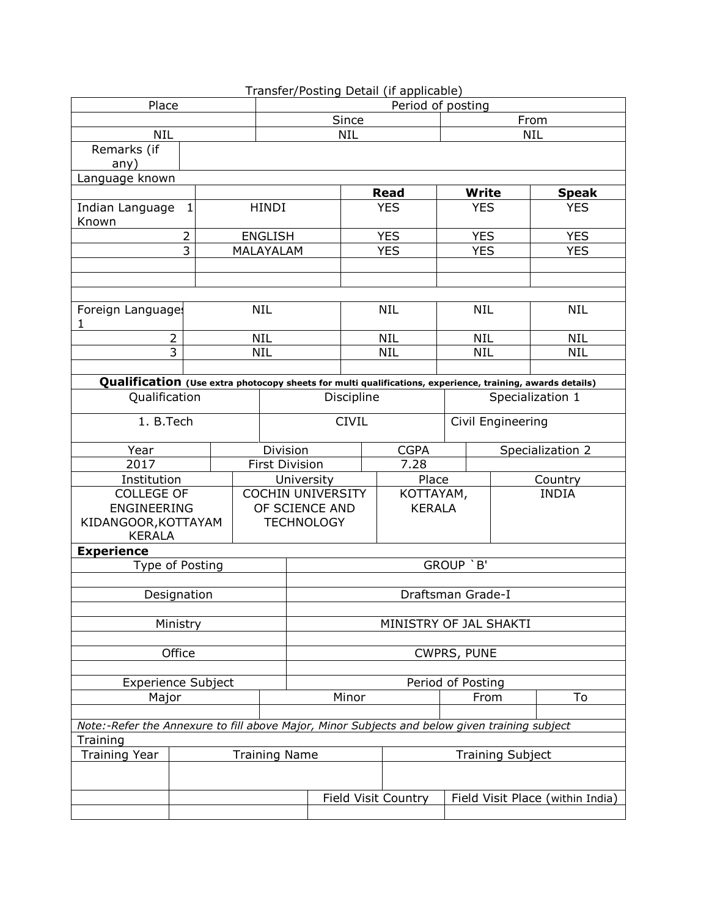|                                                                                                                            |                                                                                               |  |                          |                       |                        |       |            |                         | Transfer/Posting Detail (if applicable) |                   |            |                  |  |
|----------------------------------------------------------------------------------------------------------------------------|-----------------------------------------------------------------------------------------------|--|--------------------------|-----------------------|------------------------|-------|------------|-------------------------|-----------------------------------------|-------------------|------------|------------------|--|
| Place                                                                                                                      |                                                                                               |  |                          |                       | Period of posting      |       |            |                         |                                         |                   |            |                  |  |
|                                                                                                                            |                                                                                               |  |                          |                       | Since                  |       |            |                         |                                         | From              |            |                  |  |
| <b>NIL</b>                                                                                                                 |                                                                                               |  |                          |                       |                        |       | <b>NIL</b> |                         |                                         |                   | <b>NIL</b> |                  |  |
| Remarks (if                                                                                                                |                                                                                               |  |                          |                       |                        |       |            |                         |                                         |                   |            |                  |  |
| any)                                                                                                                       |                                                                                               |  |                          |                       |                        |       |            |                         |                                         |                   |            |                  |  |
| Language known                                                                                                             |                                                                                               |  |                          |                       |                        |       |            |                         |                                         |                   |            |                  |  |
|                                                                                                                            |                                                                                               |  |                          |                       |                        |       |            |                         | <b>Read</b>                             | <b>Write</b>      |            | <b>Speak</b>     |  |
| Indian Language                                                                                                            | $\mathbf{1}$                                                                                  |  |                          | <b>HINDI</b>          |                        |       | <b>YES</b> |                         | <b>YES</b>                              |                   | <b>YES</b> |                  |  |
| Known                                                                                                                      |                                                                                               |  |                          |                       |                        |       |            |                         |                                         |                   |            |                  |  |
|                                                                                                                            | $\overline{2}$                                                                                |  |                          | <b>ENGLISH</b>        |                        |       |            |                         | <b>YES</b>                              | <b>YES</b>        |            | <b>YES</b>       |  |
|                                                                                                                            | 3                                                                                             |  |                          | MALAYALAM             |                        |       |            |                         | <b>YES</b>                              | <b>YES</b>        |            | <b>YES</b>       |  |
|                                                                                                                            |                                                                                               |  |                          |                       |                        |       |            |                         |                                         |                   |            |                  |  |
|                                                                                                                            |                                                                                               |  |                          |                       |                        |       |            |                         |                                         |                   |            |                  |  |
| Foreign Languages                                                                                                          |                                                                                               |  |                          | <b>NIL</b>            |                        |       |            |                         | <b>NIL</b>                              | <b>NIL</b>        |            | <b>NIL</b>       |  |
| 1                                                                                                                          |                                                                                               |  |                          |                       |                        |       |            |                         |                                         |                   |            |                  |  |
| $\overline{2}$                                                                                                             |                                                                                               |  |                          | <b>NIL</b>            |                        |       |            |                         | <b>NIL</b>                              | <b>NIL</b>        |            | <b>NIL</b>       |  |
| $\overline{3}$                                                                                                             |                                                                                               |  |                          | <b>NIL</b>            |                        |       |            |                         | <b>NIL</b>                              | <b>NIL</b>        |            | <b>NIL</b>       |  |
|                                                                                                                            |                                                                                               |  |                          |                       |                        |       |            |                         |                                         |                   |            |                  |  |
|                                                                                                                            |                                                                                               |  |                          |                       |                        |       |            |                         |                                         |                   |            |                  |  |
| Qualification (Use extra photocopy sheets for multi qualifications, experience, training, awards details)<br>Qualification |                                                                                               |  |                          |                       | Discipline             |       |            |                         |                                         | Specialization 1  |            |                  |  |
| 1. B.Tech                                                                                                                  |                                                                                               |  |                          | <b>CIVIL</b>          |                        |       |            |                         |                                         | Civil Engineering |            |                  |  |
|                                                                                                                            |                                                                                               |  |                          |                       |                        |       |            |                         |                                         |                   |            |                  |  |
| Year                                                                                                                       |                                                                                               |  |                          | Division              |                        |       |            | <b>CGPA</b>             |                                         |                   |            | Specialization 2 |  |
| 2017                                                                                                                       |                                                                                               |  |                          | <b>First Division</b> |                        |       |            |                         | 7.28                                    |                   |            |                  |  |
| Institution                                                                                                                |                                                                                               |  |                          | University            |                        |       |            |                         | Place                                   |                   |            | Country          |  |
| <b>COLLEGE OF</b>                                                                                                          |                                                                                               |  | <b>COCHIN UNIVERSITY</b> |                       |                        |       |            | KOTTAYAM,               |                                         |                   |            | <b>INDIA</b>     |  |
| ENGINEERING                                                                                                                |                                                                                               |  |                          | OF SCIENCE AND        |                        |       |            | <b>KERALA</b>           |                                         |                   |            |                  |  |
| KIDANGOOR, KOTTAYAM                                                                                                        |                                                                                               |  |                          | <b>TECHNOLOGY</b>     |                        |       |            |                         |                                         |                   |            |                  |  |
| <b>KERALA</b>                                                                                                              |                                                                                               |  |                          |                       |                        |       |            |                         |                                         |                   |            |                  |  |
| <b>Experience</b>                                                                                                          |                                                                                               |  |                          |                       |                        |       |            |                         |                                         | GROUP `B'         |            |                  |  |
|                                                                                                                            | Type of Posting                                                                               |  |                          |                       |                        |       |            |                         |                                         |                   |            |                  |  |
| Designation                                                                                                                |                                                                                               |  |                          |                       | Draftsman Grade-I      |       |            |                         |                                         |                   |            |                  |  |
|                                                                                                                            |                                                                                               |  |                          |                       |                        |       |            |                         |                                         |                   |            |                  |  |
|                                                                                                                            | Ministry                                                                                      |  |                          |                       | MINISTRY OF JAL SHAKTI |       |            |                         |                                         |                   |            |                  |  |
|                                                                                                                            |                                                                                               |  |                          |                       |                        |       |            |                         |                                         |                   |            |                  |  |
|                                                                                                                            | Office                                                                                        |  |                          |                       | <b>CWPRS, PUNE</b>     |       |            |                         |                                         |                   |            |                  |  |
|                                                                                                                            |                                                                                               |  |                          |                       |                        |       |            |                         |                                         |                   |            |                  |  |
| <b>Experience Subject</b>                                                                                                  |                                                                                               |  |                          |                       | Period of Posting      |       |            |                         |                                         |                   |            |                  |  |
| Major                                                                                                                      |                                                                                               |  |                          |                       |                        | Minor |            |                         | From                                    |                   | To         |                  |  |
|                                                                                                                            |                                                                                               |  |                          |                       |                        |       |            |                         |                                         |                   |            |                  |  |
|                                                                                                                            | Note:-Refer the Annexure to fill above Major, Minor Subjects and below given training subject |  |                          |                       |                        |       |            |                         |                                         |                   |            |                  |  |
| Training                                                                                                                   |                                                                                               |  |                          |                       |                        |       |            |                         |                                         |                   |            |                  |  |
| <b>Training Year</b><br><b>Training Name</b>                                                                               |                                                                                               |  |                          |                       |                        |       |            | <b>Training Subject</b> |                                         |                   |            |                  |  |
|                                                                                                                            |                                                                                               |  |                          |                       |                        |       |            |                         |                                         |                   |            |                  |  |
|                                                                                                                            |                                                                                               |  |                          |                       | Field Visit Country    |       |            |                         | Field Visit Place (within India)        |                   |            |                  |  |
|                                                                                                                            |                                                                                               |  |                          |                       |                        |       |            |                         |                                         |                   |            |                  |  |